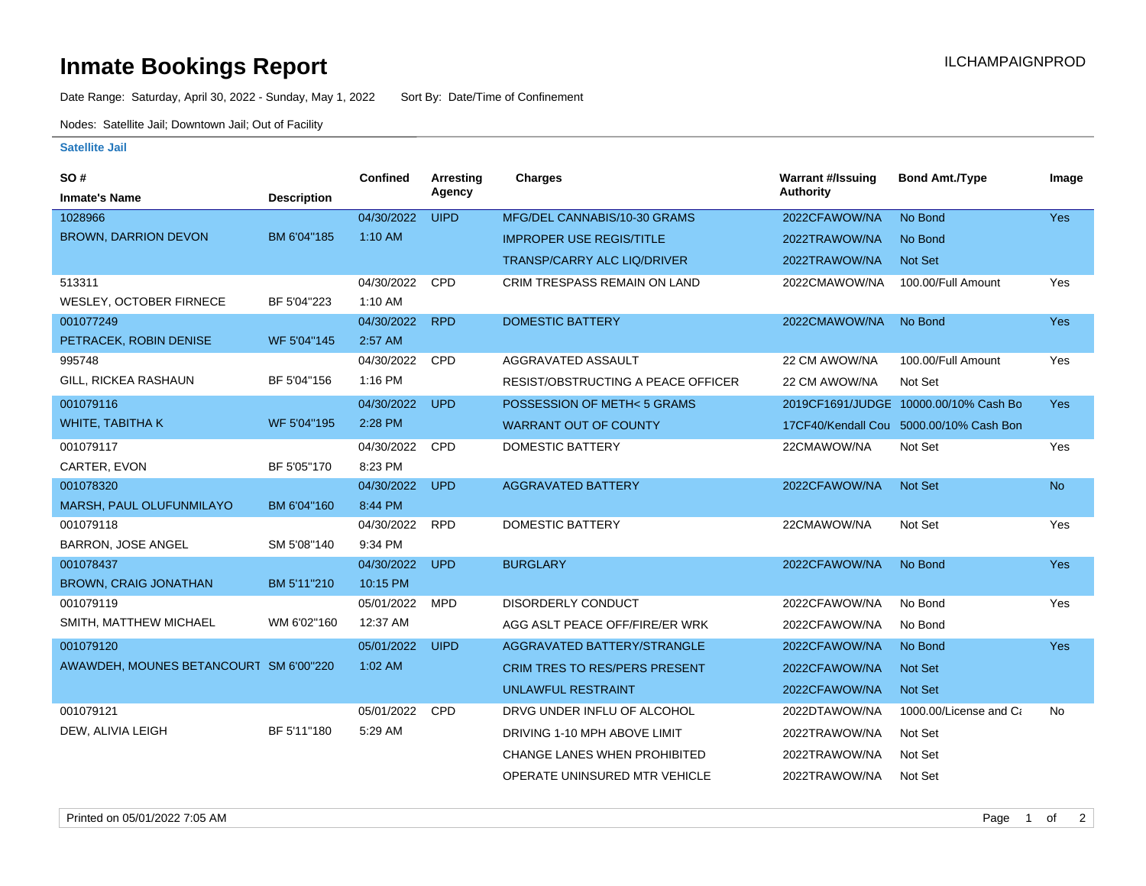## **Inmate Bookings Report Inmate Bookings Report**

Date Range: Saturday, April 30, 2022 - Sunday, May 1, 2022 Sort By: Date/Time of Confinement

Nodes: Satellite Jail; Downtown Jail; Out of Facility

## **Satellite Jail**

| SO#                                    |                    | Confined   | <b>Arresting</b> | <b>Charges</b>                       | <b>Warrant #/Issuing</b> | <b>Bond Amt./Type</b>                   | Image      |
|----------------------------------------|--------------------|------------|------------------|--------------------------------------|--------------------------|-----------------------------------------|------------|
| <b>Inmate's Name</b>                   | <b>Description</b> |            | Agency           |                                      | Authority                |                                         |            |
| 1028966                                |                    | 04/30/2022 | <b>UIPD</b>      | MFG/DEL CANNABIS/10-30 GRAMS         | 2022CFAWOW/NA            | No Bond                                 | <b>Yes</b> |
| <b>BROWN, DARRION DEVON</b>            | BM 6'04"185        | $1:10$ AM  |                  | <b>IMPROPER USE REGIS/TITLE</b>      | 2022TRAWOW/NA            | No Bond                                 |            |
|                                        |                    |            |                  | TRANSP/CARRY ALC LIQ/DRIVER          | 2022TRAWOW/NA            | Not Set                                 |            |
| 513311                                 |                    | 04/30/2022 | <b>CPD</b>       | CRIM TRESPASS REMAIN ON LAND         | 2022CMAWOW/NA            | 100.00/Full Amount                      | Yes        |
| WESLEY, OCTOBER FIRNECE                | BF 5'04"223        | 1:10 AM    |                  |                                      |                          |                                         |            |
| 001077249                              |                    | 04/30/2022 | <b>RPD</b>       | <b>DOMESTIC BATTERY</b>              | 2022CMAWOW/NA            | No Bond                                 | Yes        |
| PETRACEK, ROBIN DENISE                 | WF 5'04"145        | 2:57 AM    |                  |                                      |                          |                                         |            |
| 995748                                 |                    | 04/30/2022 | <b>CPD</b>       | AGGRAVATED ASSAULT                   | 22 CM AWOW/NA            | 100.00/Full Amount                      | Yes        |
| GILL, RICKEA RASHAUN                   | BF 5'04"156        | 1:16 PM    |                  | RESIST/OBSTRUCTING A PEACE OFFICER   | 22 CM AWOW/NA            | Not Set                                 |            |
| 001079116                              |                    | 04/30/2022 | <b>UPD</b>       | POSSESSION OF METH<5 GRAMS           |                          | 2019CF1691/JUDGE 10000.00/10% Cash Bo   | Yes        |
| WHITE, TABITHA K                       | WF 5'04"195        | 2:28 PM    |                  | <b>WARRANT OUT OF COUNTY</b>         |                          | 17CF40/Kendall Cou 5000.00/10% Cash Bon |            |
| 001079117                              |                    | 04/30/2022 | CPD              | <b>DOMESTIC BATTERY</b>              | 22CMAWOW/NA              | Not Set                                 | Yes        |
| CARTER, EVON                           | BF 5'05"170        | 8:23 PM    |                  |                                      |                          |                                         |            |
| 001078320                              |                    | 04/30/2022 | <b>UPD</b>       | <b>AGGRAVATED BATTERY</b>            | 2022CFAWOW/NA            | Not Set                                 | <b>No</b>  |
| MARSH, PAUL OLUFUNMILAYO               | BM 6'04"160        | 8:44 PM    |                  |                                      |                          |                                         |            |
| 001079118                              |                    | 04/30/2022 | <b>RPD</b>       | <b>DOMESTIC BATTERY</b>              | 22CMAWOW/NA              | Not Set                                 | Yes        |
| <b>BARRON, JOSE ANGEL</b>              | SM 5'08"140        | 9:34 PM    |                  |                                      |                          |                                         |            |
| 001078437                              |                    | 04/30/2022 | <b>UPD</b>       | <b>BURGLARY</b>                      | 2022CFAWOW/NA            | No Bond                                 | Yes        |
| <b>BROWN, CRAIG JONATHAN</b>           | BM 5'11"210        | 10:15 PM   |                  |                                      |                          |                                         |            |
| 001079119                              |                    | 05/01/2022 | <b>MPD</b>       | <b>DISORDERLY CONDUCT</b>            | 2022CFAWOW/NA            | No Bond                                 | Yes        |
| SMITH, MATTHEW MICHAEL                 | WM 6'02"160        | 12:37 AM   |                  | AGG ASLT PEACE OFF/FIRE/ER WRK       | 2022CFAWOW/NA            | No Bond                                 |            |
| 001079120                              |                    | 05/01/2022 | <b>UIPD</b>      | AGGRAVATED BATTERY/STRANGLE          | 2022CFAWOW/NA            | No Bond                                 | <b>Yes</b> |
| AWAWDEH, MOUNES BETANCOURT SM 6'00"220 |                    | $1:02$ AM  |                  | <b>CRIM TRES TO RES/PERS PRESENT</b> | 2022CFAWOW/NA            | <b>Not Set</b>                          |            |
|                                        |                    |            |                  | UNLAWFUL RESTRAINT                   | 2022CFAWOW/NA            | Not Set                                 |            |
| 001079121                              |                    | 05/01/2022 | CPD              | DRVG UNDER INFLU OF ALCOHOL          | 2022DTAWOW/NA            | 1000.00/License and Ca                  | No         |
| DEW, ALIVIA LEIGH                      | BF 5'11"180        | 5:29 AM    |                  | DRIVING 1-10 MPH ABOVE LIMIT         | 2022TRAWOW/NA            | Not Set                                 |            |
|                                        |                    |            |                  | CHANGE LANES WHEN PROHIBITED         | 2022TRAWOW/NA            | Not Set                                 |            |
|                                        |                    |            |                  | OPERATE UNINSURED MTR VEHICLE        | 2022TRAWOW/NA            | Not Set                                 |            |